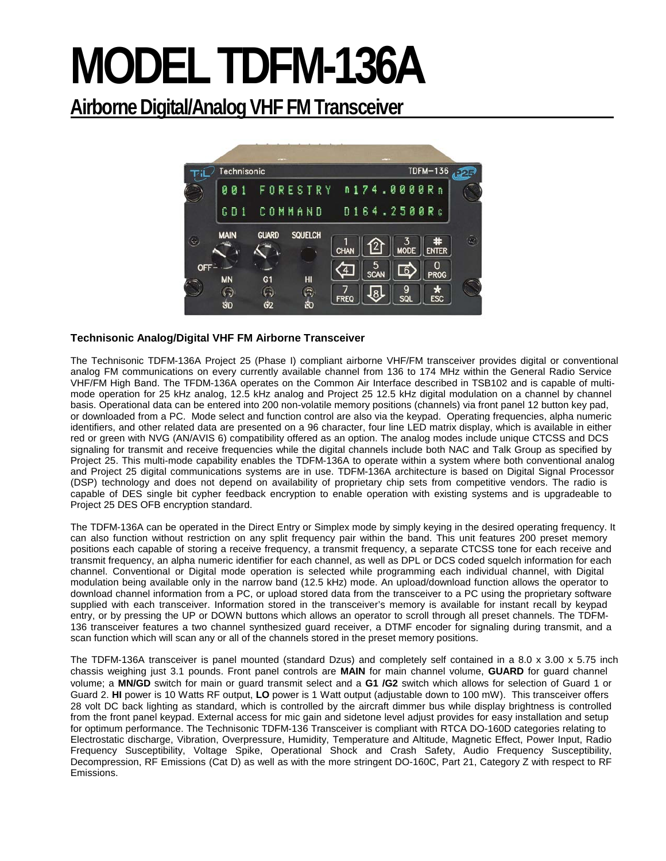# **MODEL TDFM-136A**

# **Airborne Digital/Analog VHF FM Transceiver**



## **Technisonic Analog/Digital VHF FM Airborne Transceiver**

The Technisonic TDFM-136A Project 25 (Phase I) compliant airborne VHF/FM transceiver provides digital or conventional analog FM communications on every currently available channel from 136 to 174 MHz within the General Radio Service VHF/FM High Band. The TFDM-136A operates on the Common Air Interface described in TSB102 and is capable of multimode operation for 25 kHz analog, 12.5 kHz analog and Project 25 12.5 kHz digital modulation on a channel by channel basis. Operational data can be entered into 200 non-volatile memory positions (channels) via front panel 12 button key pad, or downloaded from a PC. Mode select and function control are also via the keypad. Operating frequencies, alpha numeric identifiers, and other related data are presented on a 96 character, four line LED matrix display, which is available in either red or green with NVG (AN/AVIS 6) compatibility offered as an option. The analog modes include unique CTCSS and DCS signaling for transmit and receive frequencies while the digital channels include both NAC and Talk Group as specified by Project 25. This multi-mode capability enables the TDFM-136A to operate within a system where both conventional analog and Project 25 digital communications systems are in use. TDFM-136A architecture is based on Digital Signal Processor (DSP) technology and does not depend on availability of proprietary chip sets from competitive vendors. The radio is capable of DES single bit cypher feedback encryption to enable operation with existing systems and is upgradeable to Project 25 DES OFB encryption standard.

The TDFM-136A can be operated in the Direct Entry or Simplex mode by simply keying in the desired operating frequency. It can also function without restriction on any split frequency pair within the band. This unit features 200 preset memory positions each capable of storing a receive frequency, a transmit frequency, a separate CTCSS tone for each receive and transmit frequency, an alpha numeric identifier for each channel, as well as DPL or DCS coded squelch information for each channel. Conventional or Digital mode operation is selected while programming each individual channel, with Digital modulation being available only in the narrow band (12.5 kHz) mode. An upload/download function allows the operator to download channel information from a PC, or upload stored data from the transceiver to a PC using the proprietary software supplied with each transceiver. Information stored in the transceiver's memory is available for instant recall by keypad entry, or by pressing the UP or DOWN buttons which allows an operator to scroll through all preset channels. The TDFM-136 transceiver features a two channel synthesized guard receiver, a DTMF encoder for signaling during transmit, and a scan function which will scan any or all of the channels stored in the preset memory positions.

The TDFM-136A transceiver is panel mounted (standard Dzus) and completely self contained in a 8.0 x 3.00 x 5.75 inch chassis weighing just 3.1 pounds. Front panel controls are **MAIN** for main channel volume, **GUARD** for guard channel volume; a **MN/GD** switch for main or guard transmit select and a **G1 /G2** switch which allows for selection of Guard 1 or Guard 2. **HI** power is 10 Watts RF output, **LO** power is 1 Watt output (adjustable down to 100 mW). This transceiver offers 28 volt DC back lighting as standard, which is controlled by the aircraft dimmer bus while display brightness is controlled from the front panel keypad. External access for mic gain and sidetone level adjust provides for easy installation and setup for optimum performance. The Technisonic TDFM-136 Transceiver is compliant with RTCA DO-160D categories relating to Electrostatic discharge, Vibration, Overpressure, Humidity, Temperature and Altitude, Magnetic Effect, Power Input, Radio Frequency Susceptibility, Voltage Spike, Operational Shock and Crash Safety, Audio Frequency Susceptibility, Decompression, RF Emissions (Cat D) as well as with the more stringent DO-160C, Part 21, Category Z with respect to RF Emissions.